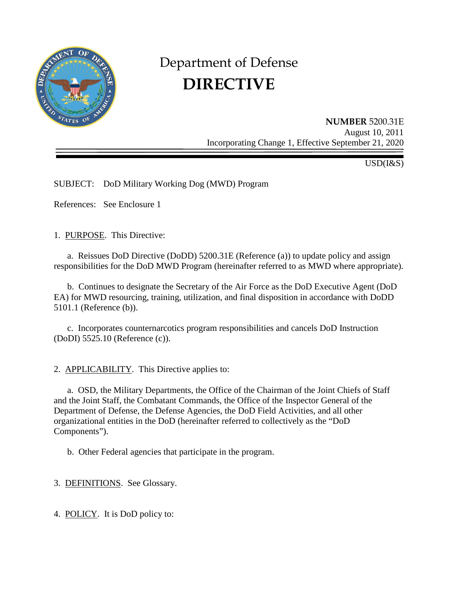

# Department of Defense **DIRECTIVE**

**NUMBER** 5200.31E August 10, 2011 Incorporating Change 1, Effective September 21, 2020

USD(I&S)

SUBJECT: DoD Military Working Dog (MWD) Program

References: See Enclosure 1

1. PURPOSE. This Directive:

a. Reissues DoD Directive (DoDD) 5200.31E (Reference (a)) to update policy and assign responsibilities for the DoD MWD Program (hereinafter referred to as MWD where appropriate).

 b. Continues to designate the Secretary of the Air Force as the DoD Executive Agent (DoD EA) for MWD resourcing, training, utilization, and final disposition in accordance with DoDD 5101.1 (Reference (b)).

c. Incorporates counternarcotics program responsibilities and cancels DoD Instruction (DoDI) 5525.10 (Reference (c)).

2. APPLICABILITY. This Directive applies to:

a. OSD, the Military Departments, the Office of the Chairman of the Joint Chiefs of Staff and the Joint Staff, the Combatant Commands, the Office of the Inspector General of the Department of Defense, the Defense Agencies, the DoD Field Activities, and all other organizational entities in the DoD (hereinafter referred to collectively as the "DoD Components").

b. Other Federal agencies that participate in the program.

3. DEFINITIONS. See Glossary.

4. POLICY. It is DoD policy to: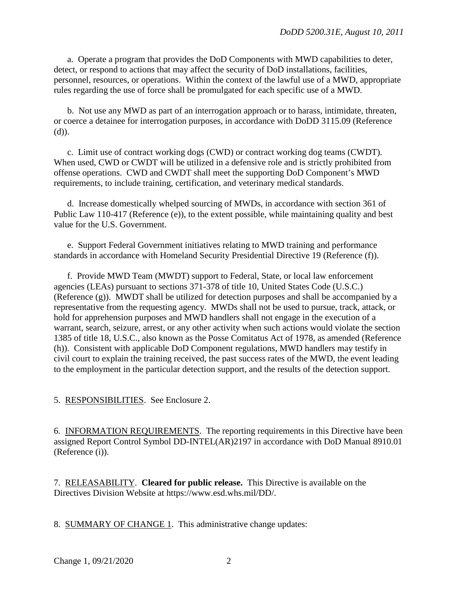a. Operate a program that provides the DoD Components with MWD capabilities to deter, detect, or respond to actions that may affect the security of DoD installations, facilities, personnel, resources, or operations. Within the context of the lawful use of a MWD, appropriate rules regarding the use of force shall be promulgated for each specific use of a MWD.

 b. Not use any MWD as part of an interrogation approach or to harass, intimidate, threaten, or coerce a detainee for interrogation purposes, in accordance with DoDD 3115.09 (Reference (d)).

 c. Limit use of contract working dogs (CWD) or contract working dog teams (CWDT). When used, CWD or CWDT will be utilized in a defensive role and is strictly prohibited from offense operations. CWD and CWDT shall meet the supporting DoD Component's MWD requirements, to include training, certification, and veterinary medical standards.

 d. Increase domestically whelped sourcing of MWDs, in accordance with section 361 of Public Law 110-417 (Reference (e)), to the extent possible, while maintaining quality and best value for the U.S. Government.

 e. Support Federal Government initiatives relating to MWD training and performance standards in accordance with Homeland Security Presidential Directive 19 (Reference (f)).

 f. Provide MWD Team (MWDT) support to Federal, State, or local law enforcement agencies (LEAs) pursuant to sections 371-378 of title 10, United States Code (U.S.C.) (Reference (g)). MWDT shall be utilized for detection purposes and shall be accompanied by a representative from the requesting agency. MWDs shall not be used to pursue, track, attack, or hold for apprehension purposes and MWD handlers shall not engage in the execution of a warrant, search, seizure, arrest, or any other activity when such actions would violate the section 1385 of title 18, U.S.C., also known as the Posse Comitatus Act of 1978, as amended (Reference (h)). Consistent with applicable DoD Component regulations, MWD handlers may testify in civil court to explain the training received, the past success rates of the MWD, the event leading to the employment in the particular detection support, and the results of the detection support.

5. RESPONSIBILITIES. See Enclosure 2.

6. INFORMATION REQUIREMENTS. The reporting requirements in this Directive have been assigned Report Control Symbol DD-INTEL(AR)2197 in accordance with DoD Manual 8910.01 (Reference (i)).

7. RELEASABILITY. **Cleared for public release.** This Directive is available on the Directives Division Website at https://www.esd.whs.mil/DD/.

8. SUMMARY OF CHANGE 1. This administrative change updates: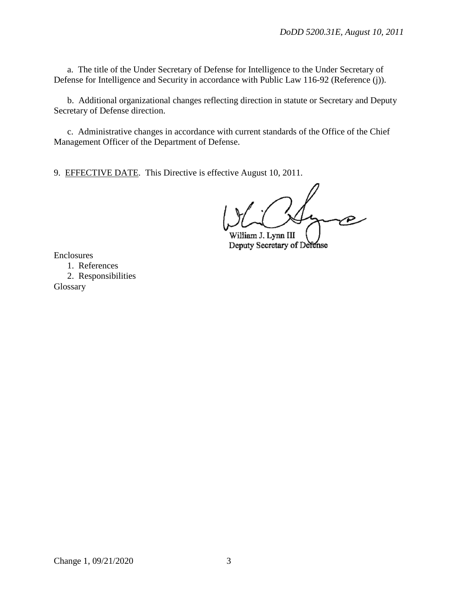a. The title of the Under Secretary of Defense for Intelligence to the Under Secretary of Defense for Intelligence and Security in accordance with Public Law 116-92 (Reference (j)).

 b. Additional organizational changes reflecting direction in statute or Secretary and Deputy Secretary of Defense direction.

 c. Administrative changes in accordance with current standards of the Office of the Chief Management Officer of the Department of Defense.

9. EFFECTIVE DATE. This Directive is effective August 10, 2011.

William J. Lynn III Deputy Secretary of Defense

Enclosures

1. References 2. Responsibilities Glossary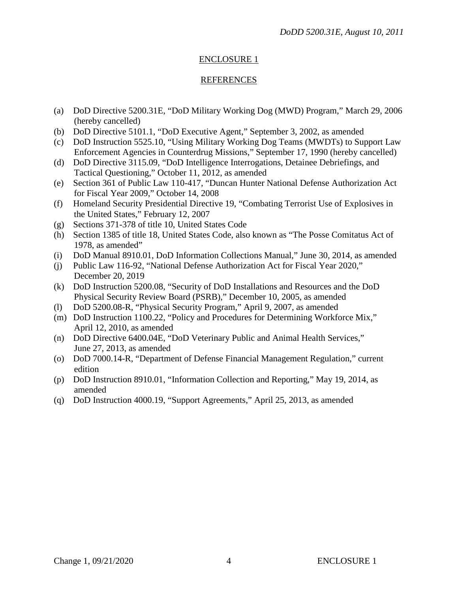#### ENCLOSURE 1

#### REFERENCES

- (a) DoD Directive 5200.31E, "DoD Military Working Dog (MWD) Program," March 29, 2006 (hereby cancelled)
- (b) DoD Directive 5101.1, "DoD Executive Agent," September 3, 2002, as amended
- (c) DoD Instruction 5525.10, "Using Military Working Dog Teams (MWDTs) to Support Law Enforcement Agencies in Counterdrug Missions," September 17, 1990 (hereby cancelled)
- (d) DoD Directive 3115.09, "DoD Intelligence Interrogations, Detainee Debriefings, and Tactical Questioning," October 11, 2012, as amended
- (e) Section 361 of Public Law 110-417, "Duncan Hunter National Defense Authorization Act for Fiscal Year 2009," October 14, 2008
- (f) Homeland Security Presidential Directive 19, "Combating Terrorist Use of Explosives in the United States," February 12, 2007
- (g) Sections 371-378 of title 10, United States Code
- (h) Section 1385 of title 18, United States Code, also known as "The Posse Comitatus Act of 1978, as amended"
- (i) DoD Manual 8910.01, DoD Information Collections Manual," June 30, 2014, as amended
- (j) Public Law 116-92, "National Defense Authorization Act for Fiscal Year 2020," December 20, 2019
- (k) DoD Instruction 5200.08, "Security of DoD Installations and Resources and the DoD Physical Security Review Board (PSRB)," December 10, 2005, as amended
- (l) DoD 5200.08-R, "Physical Security Program," April 9, 2007, as amended
- (m) DoD Instruction 1100.22, "Policy and Procedures for Determining Workforce Mix," April 12, 2010, as amended
- (n) DoD Directive 6400.04E, "DoD Veterinary Public and Animal Health Services," June 27, 2013, as amended
- (o) DoD 7000.14-R, "Department of Defense Financial Management Regulation," current edition
- (p) DoD Instruction 8910.01, "Information Collection and Reporting," May 19, 2014, as amended
- (q) DoD Instruction 4000.19, "Support Agreements," April 25, 2013, as amended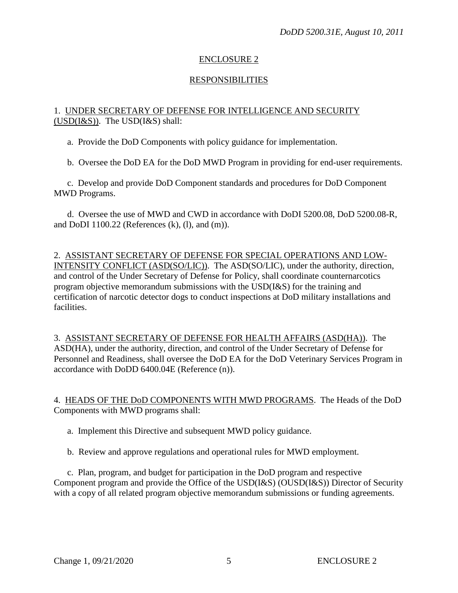# ENCLOSURE 2

# RESPONSIBILITIES

#### 1. UNDER SECRETARY OF DEFENSE FOR INTELLIGENCE AND SECURITY  $(USD(I&S))$ . The USD(I $&S)$  shall:

a. Provide the DoD Components with policy guidance for implementation.

b. Oversee the DoD EA for the DoD MWD Program in providing for end-user requirements.

c. Develop and provide DoD Component standards and procedures for DoD Component MWD Programs.

d. Oversee the use of MWD and CWD in accordance with DoDI 5200.08, DoD 5200.08-R, and DoDI 1100.22 (References (k), (l), and (m)).

2. ASSISTANT SECRETARY OF DEFENSE FOR SPECIAL OPERATIONS AND LOW-INTENSITY CONFLICT (ASD(SO/LIC)). The ASD(SO/LIC), under the authority, direction, and control of the Under Secretary of Defense for Policy, shall coordinate counternarcotics program objective memorandum submissions with the USD(I&S) for the training and certification of narcotic detector dogs to conduct inspections at DoD military installations and facilities.

3. ASSISTANT SECRETARY OF DEFENSE FOR HEALTH AFFAIRS (ASD(HA)). The ASD(HA), under the authority, direction, and control of the Under Secretary of Defense for Personnel and Readiness, shall oversee the DoD EA for the DoD Veterinary Services Program in accordance with DoDD 6400.04E (Reference (n)).

4. HEADS OF THE DoD COMPONENTS WITH MWD PROGRAMS. The Heads of the DoD Components with MWD programs shall:

a. Implement this Directive and subsequent MWD policy guidance.

b. Review and approve regulations and operational rules for MWD employment.

c. Plan, program, and budget for participation in the DoD program and respective Component program and provide the Office of the USD(I&S) (OUSD(I&S)) Director of Security with a copy of all related program objective memorandum submissions or funding agreements.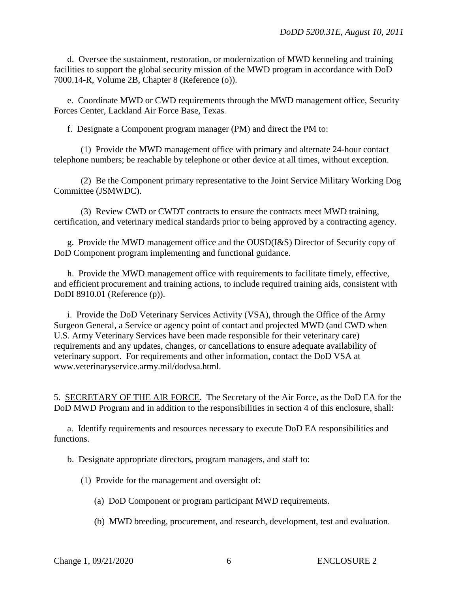d. Oversee the sustainment, restoration, or modernization of MWD kenneling and training facilities to support the global security mission of the MWD program in accordance with DoD 7000.14-R, Volume 2B, Chapter 8 (Reference (o)).

e. Coordinate MWD or CWD requirements through the MWD management office, Security Forces Center, Lackland Air Force Base, Texas.

f. Designate a Component program manager (PM) and direct the PM to:

(1) Provide the MWD management office with primary and alternate 24-hour contact telephone numbers; be reachable by telephone or other device at all times, without exception.

(2) Be the Component primary representative to the Joint Service Military Working Dog Committee (JSMWDC).

(3) Review CWD or CWDT contracts to ensure the contracts meet MWD training, certification, and veterinary medical standards prior to being approved by a contracting agency.

g. Provide the MWD management office and the OUSD(I&S) Director of Security copy of DoD Component program implementing and functional guidance.

h. Provide the MWD management office with requirements to facilitate timely, effective, and efficient procurement and training actions, to include required training aids, consistent with DoDI 8910.01 (Reference (p)).

i. Provide the DoD Veterinary Services Activity (VSA), through the Office of the Army Surgeon General, a Service or agency point of contact and projected MWD (and CWD when U.S. Army Veterinary Services have been made responsible for their veterinary care) requirements and any updates, changes, or cancellations to ensure adequate availability of veterinary support. For requirements and other information, contact the DoD VSA at www.veterinaryservice.army.mil/dodvsa.html.

5. SECRETARY OF THE AIR FORCE. The Secretary of the Air Force, as the DoD EA for the DoD MWD Program and in addition to the responsibilities in section 4 of this enclosure, shall:

a. Identify requirements and resources necessary to execute DoD EA responsibilities and functions.

b. Designate appropriate directors, program managers, and staff to:

(1) Provide for the management and oversight of:

(a) DoD Component or program participant MWD requirements.

(b) MWD breeding, procurement, and research, development, test and evaluation.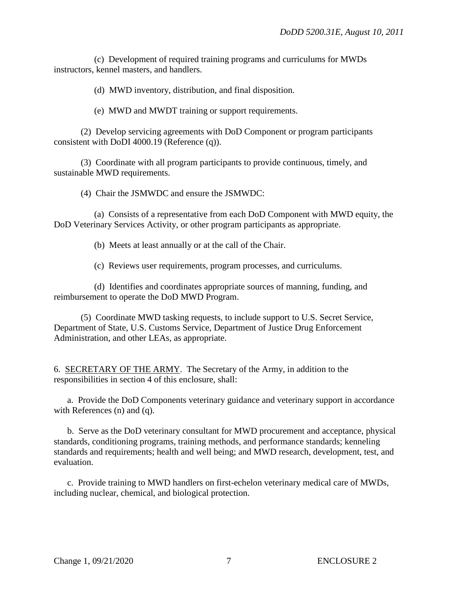(c) Development of required training programs and curriculums for MWDs instructors, kennel masters, and handlers.

(d) MWD inventory, distribution, and final disposition.

(e) MWD and MWDT training or support requirements.

(2) Develop servicing agreements with DoD Component or program participants consistent with DoDI 4000.19 (Reference (q)).

(3) Coordinate with all program participants to provide continuous, timely, and sustainable MWD requirements.

(4) Chair the JSMWDC and ensure the JSMWDC:

(a) Consists of a representative from each DoD Component with MWD equity, the DoD Veterinary Services Activity, or other program participants as appropriate.

(b) Meets at least annually or at the call of the Chair.

(c) Reviews user requirements, program processes, and curriculums.

(d) Identifies and coordinates appropriate sources of manning, funding, and reimbursement to operate the DoD MWD Program.

(5) Coordinate MWD tasking requests, to include support to U.S. Secret Service, Department of State, U.S. Customs Service, Department of Justice Drug Enforcement Administration, and other LEAs, as appropriate.

6. SECRETARY OF THE ARMY. The Secretary of the Army, in addition to the responsibilities in section 4 of this enclosure, shall:

a. Provide the DoD Components veterinary guidance and veterinary support in accordance with References (n) and (q).

b. Serve as the DoD veterinary consultant for MWD procurement and acceptance, physical standards, conditioning programs, training methods, and performance standards; kenneling standards and requirements; health and well being; and MWD research, development, test, and evaluation.

c. Provide training to MWD handlers on first-echelon veterinary medical care of MWDs, including nuclear, chemical, and biological protection.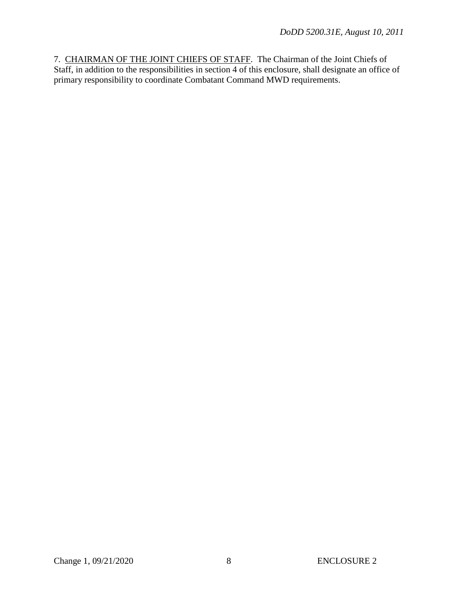7. CHAIRMAN OF THE JOINT CHIEFS OF STAFF. The Chairman of the Joint Chiefs of Staff, in addition to the responsibilities in section 4 of this enclosure, shall designate an office of primary responsibility to coordinate Combatant Command MWD requirements.